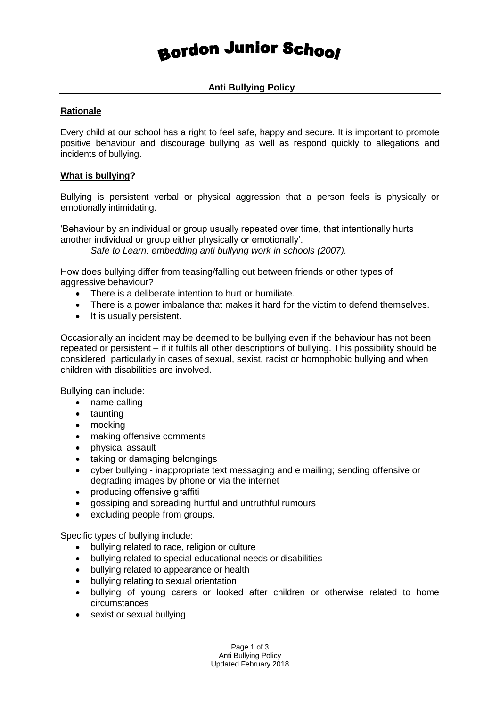# **Bordon Junior School**

**Anti Bullying Policy**

## **Rationale**

Every child at our school has a right to feel safe, happy and secure. It is important to promote positive behaviour and discourage bullying as well as respond quickly to allegations and incidents of bullying.

#### **What is bullying?**

Bullying is persistent verbal or physical aggression that a person feels is physically or emotionally intimidating.

'Behaviour by an individual or group usually repeated over time, that intentionally hurts another individual or group either physically or emotionally'.

*Safe to Learn: embedding anti bullying work in schools (2007).*

How does bullying differ from teasing/falling out between friends or other types of aggressive behaviour?

- There is a deliberate intention to hurt or humiliate.
- There is a power imbalance that makes it hard for the victim to defend themselves.
- It is usually persistent.

Occasionally an incident may be deemed to be bullying even if the behaviour has not been repeated or persistent – if it fulfils all other descriptions of bullying. This possibility should be considered, particularly in cases of sexual, sexist, racist or homophobic bullying and when children with disabilities are involved.

Bullying can include:

- name calling
- taunting
- mocking
- making offensive comments
- physical assault
- taking or damaging belongings
- cyber bullying inappropriate text messaging and e mailing; sending offensive or degrading images by phone or via the internet
- producing offensive graffiti
- gossiping and spreading hurtful and untruthful rumours
- excluding people from groups.

Specific types of bullying include:

- bullying related to race, religion or culture
- bullying related to special educational needs or disabilities
- bullying related to appearance or health
- bullying relating to sexual orientation
- bullying of young carers or looked after children or otherwise related to home circumstances
- sexist or sexual bullying

Page 1 of 3 Anti Bullying Policy Updated February 2018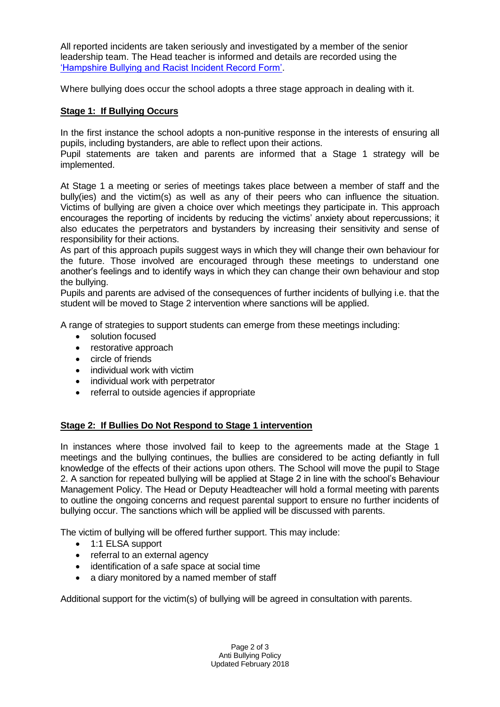All reported incidents are taken seriously and investigated by a member of the senior leadership team. The Head teacher is informed and details are recorded using the ['Hampshire Bullying and Racist Incident Record Form'.](paperbase_report_bullying_racist_incident_issue_3.pdf)

Where bullying does occur the school adopts a three stage approach in dealing with it.

#### **Stage 1: If Bullying Occurs**

In the first instance the school adopts a non-punitive response in the interests of ensuring all pupils, including bystanders, are able to reflect upon their actions.

Pupil statements are taken and parents are informed that a Stage 1 strategy will be implemented.

At Stage 1 a meeting or series of meetings takes place between a member of staff and the bully(ies) and the victim(s) as well as any of their peers who can influence the situation. Victims of bullying are given a choice over which meetings they participate in. This approach encourages the reporting of incidents by reducing the victims' anxiety about repercussions; it also educates the perpetrators and bystanders by increasing their sensitivity and sense of responsibility for their actions.

As part of this approach pupils suggest ways in which they will change their own behaviour for the future. Those involved are encouraged through these meetings to understand one another's feelings and to identify ways in which they can change their own behaviour and stop the bullying.

Pupils and parents are advised of the consequences of further incidents of bullying i.e. that the student will be moved to Stage 2 intervention where sanctions will be applied.

A range of strategies to support students can emerge from these meetings including:

- solution focused
- restorative approach
- circle of friends
- individual work with victim
- individual work with perpetrator
- referral to outside agencies if appropriate

### **Stage 2: If Bullies Do Not Respond to Stage 1 intervention**

In instances where those involved fail to keep to the agreements made at the Stage 1 meetings and the bullying continues, the bullies are considered to be acting defiantly in full knowledge of the effects of their actions upon others. The School will move the pupil to Stage 2. A sanction for repeated bullying will be applied at Stage 2 in line with the school's Behaviour Management Policy. The Head or Deputy Headteacher will hold a formal meeting with parents to outline the ongoing concerns and request parental support to ensure no further incidents of bullying occur. The sanctions which will be applied will be discussed with parents.

The victim of bullying will be offered further support. This may include:

- 1:1 ELSA support
- referral to an external agency
- identification of a safe space at social time
- a diary monitored by a named member of staff

Additional support for the victim(s) of bullying will be agreed in consultation with parents.

Page 2 of 3 Anti Bullying Policy Updated February 2018